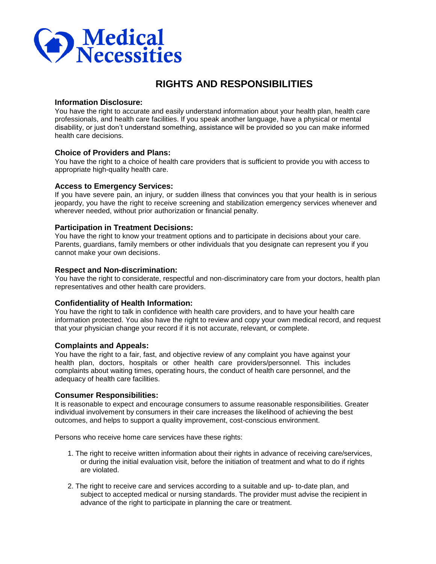

# **RIGHTS AND RESPONSIBILITIES**

## **Information Disclosure:**

You have the right to accurate and easily understand information about your health plan, health care professionals, and health care facilities. If you speak another language, have a physical or mental disability, or just don't understand something, assistance will be provided so you can make informed health care decisions.

## **Choice of Providers and Plans:**

You have the right to a choice of health care providers that is sufficient to provide you with access to appropriate high-quality health care.

## **Access to Emergency Services:**

If you have severe pain, an injury, or sudden illness that convinces you that your health is in serious jeopardy, you have the right to receive screening and stabilization emergency services whenever and wherever needed, without prior authorization or financial penalty.

## **Participation in Treatment Decisions:**

You have the right to know your treatment options and to participate in decisions about your care. Parents, guardians, family members or other individuals that you designate can represent you if you cannot make your own decisions.

### **Respect and Non-discrimination:**

You have the right to considerate, respectful and non-discriminatory care from your doctors, health plan representatives and other health care providers.

### **Confidentiality of Health Information:**

You have the right to talk in confidence with health care providers, and to have your health care information protected. You also have the right to review and copy your own medical record, and request that your physician change your record if it is not accurate, relevant, or complete.

### **Complaints and Appeals:**

You have the right to a fair, fast, and objective review of any complaint you have against your health plan, doctors, hospitals or other health care providers/personnel. This includes complaints about waiting times, operating hours, the conduct of health care personnel, and the adequacy of health care facilities.

### **Consumer Responsibilities:**

It is reasonable to expect and encourage consumers to assume reasonable responsibilities. Greater individual involvement by consumers in their care increases the likelihood of achieving the best outcomes, and helps to support a quality improvement, cost-conscious environment.

Persons who receive home care services have these rights:

- 1. The right to receive written information about their rights in advance of receiving care/services, or during the initial evaluation visit, before the initiation of treatment and what to do if rights are violated.
- 2. The right to receive care and services according to a suitable and up- to-date plan, and subject to accepted medical or nursing standards. The provider must advise the recipient in advance of the right to participate in planning the care or treatment.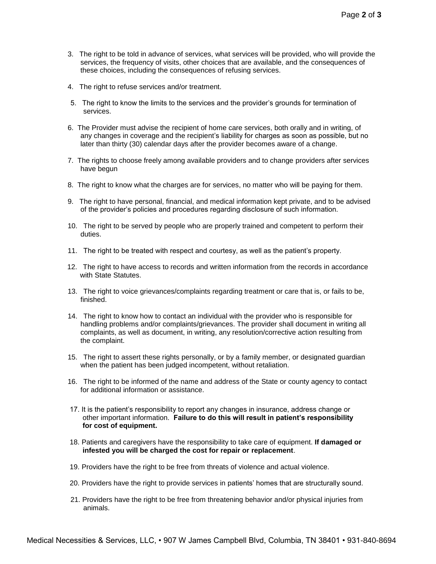- 3. The right to be told in advance of services, what services will be provided, who will provide the services, the frequency of visits, other choices that are available, and the consequences of these choices, including the consequences of refusing services.
- 4. The right to refuse services and/or treatment.
- 5. The right to know the limits to the services and the provider's grounds for termination of services.
- 6. The Provider must advise the recipient of home care services, both orally and in writing, of any changes in coverage and the recipient's liability for charges as soon as possible, but no later than thirty (30) calendar days after the provider becomes aware of a change.
- 7. The rights to choose freely among available providers and to change providers after services have begun
- 8. The right to know what the charges are for services, no matter who will be paying for them.
- 9. The right to have personal, financial, and medical information kept private, and to be advised of the provider's policies and procedures regarding disclosure of such information.
- 10. The right to be served by people who are properly trained and competent to perform their duties.
- 11. The right to be treated with respect and courtesy, as well as the patient's property.
- 12. The right to have access to records and written information from the records in accordance with State Statutes.
- 13. The right to voice grievances/complaints regarding treatment or care that is, or fails to be, finished.
- 14. The right to know how to contact an individual with the provider who is responsible for handling problems and/or complaints/grievances. The provider shall document in writing all complaints, as well as document, in writing, any resolution/corrective action resulting from the complaint.
- 15. The right to assert these rights personally, or by a family member, or designated guardian when the patient has been judged incompetent, without retaliation.
- 16. The right to be informed of the name and address of the State or county agency to contact for additional information or assistance.
- 17. It is the patient's responsibility to report any changes in insurance, address change or other important information. **Failure to do this will result in patient's responsibility for cost of equipment.**
- 18. Patients and caregivers have the responsibility to take care of equipment. **If damaged or infested you will be charged the cost for repair or replacement**.
- 19. Providers have the right to be free from threats of violence and actual violence.
- 20. Providers have the right to provide services in patients' homes that are structurally sound.
- 21. Providers have the right to be free from threatening behavior and/or physical injuries from animals.